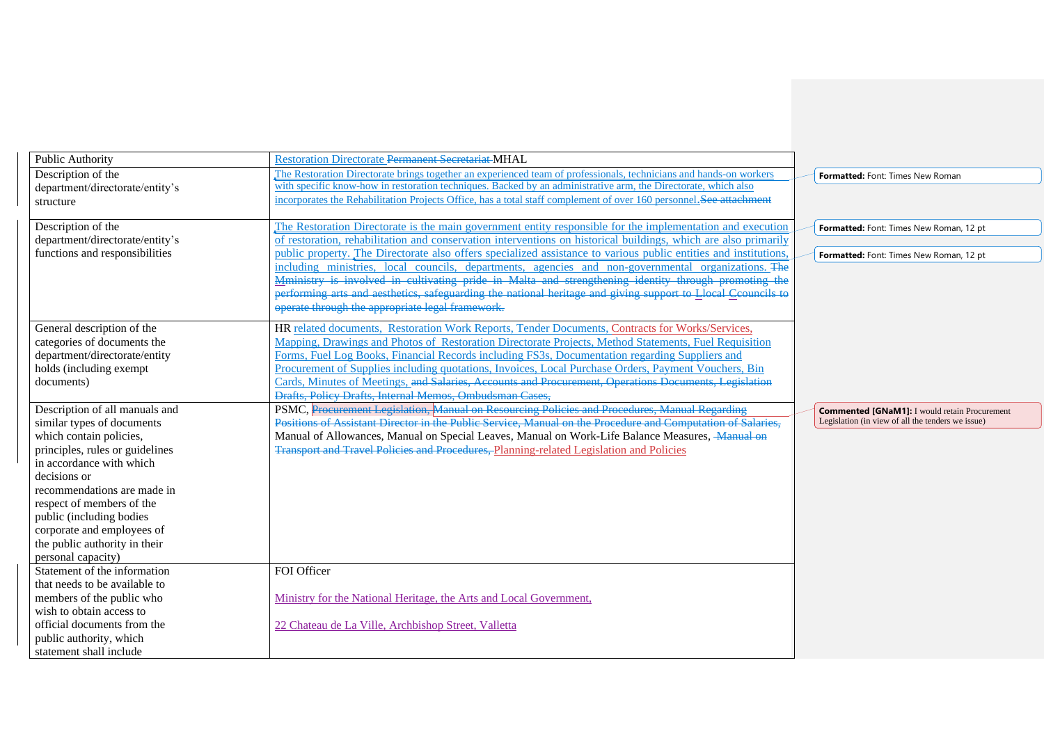| Public Authority                                   | <b>Restoration Directorate Permanent Secretariat MHAL</b>                                                                                                                                                    |                                                      |
|----------------------------------------------------|--------------------------------------------------------------------------------------------------------------------------------------------------------------------------------------------------------------|------------------------------------------------------|
| Description of the                                 | The Restoration Directorate brings together an experienced team of professionals, technicians and hands-on workers                                                                                           | <b>Formatted: Font: Times New Roman</b>              |
| department/directorate/entity's                    | with specific know-how in restoration techniques. Backed by an administrative arm, the Directorate, which also                                                                                               |                                                      |
| structure                                          | incorporates the Rehabilitation Projects Office, has a total staff complement of over 160 personnel. See attachment                                                                                          |                                                      |
|                                                    |                                                                                                                                                                                                              |                                                      |
| Description of the                                 | The Restoration Directorate is the main government entity responsible for the implementation and execution                                                                                                   | Formatted: Font: Times New Roman, 12 pt              |
| department/directorate/entity's                    | of restoration, rehabilitation and conservation interventions on historical buildings, which are also primarily                                                                                              |                                                      |
| functions and responsibilities                     | public property. The Directorate also offers specialized assistance to various public entities and institutions.                                                                                             | Formatted: Font: Times New Roman, 12 pt              |
|                                                    | including ministries, local councils, departments, agencies and non-governmental organizations. The                                                                                                          |                                                      |
|                                                    | Mministry is involved in cultivating pride in Malta and strengthening identity through promoting the                                                                                                         |                                                      |
|                                                    | performing arts and aesthetics, safeguarding the national heritage and giving support to Llocal Ccouncils to                                                                                                 |                                                      |
|                                                    | operate through the appropriate legal framework.                                                                                                                                                             |                                                      |
|                                                    |                                                                                                                                                                                                              |                                                      |
| General description of the                         | HR related documents, Restoration Work Reports, Tender Documents, Contracts for Works/Services,                                                                                                              |                                                      |
| categories of documents the                        | Mapping, Drawings and Photos of Restoration Directorate Projects, Method Statements, Fuel Requisition                                                                                                        |                                                      |
| department/directorate/entity                      | Forms, Fuel Log Books, Financial Records including FS3s, Documentation regarding Suppliers and                                                                                                               |                                                      |
| holds (including exempt                            | Procurement of Supplies including quotations, Invoices, Local Purchase Orders, Payment Vouchers, Bin                                                                                                         |                                                      |
| documents)                                         | Cards, Minutes of Meetings, and Salaries, Accounts and Procurement, Operations Documents, Legislation                                                                                                        |                                                      |
|                                                    | Drafts, Policy Drafts, Internal Memos, Ombudsman Cases,                                                                                                                                                      |                                                      |
| Description of all manuals and                     |                                                                                                                                                                                                              |                                                      |
|                                                    |                                                                                                                                                                                                              | <b>Commented [GNaM1]: I would retain Procurement</b> |
| similar types of documents                         | PSMC, Procurement Legislation, Manual on Resourcing Policies and Procedures, Manual Regarding<br>Positions of Assistant Director in the Public Service, Manual on the Procedure and Computation of Salaries, | Legislation (in view of all the tenders we issue)    |
| which contain policies,                            | Manual of Allowances, Manual on Special Leaves, Manual on Work-Life Balance Measures, Manual on                                                                                                              |                                                      |
| principles, rules or guidelines                    | <b>Transport and Travel Policies and Procedures, Planning-related Legislation and Policies</b>                                                                                                               |                                                      |
| in accordance with which                           |                                                                                                                                                                                                              |                                                      |
| decisions or                                       |                                                                                                                                                                                                              |                                                      |
| recommendations are made in                        |                                                                                                                                                                                                              |                                                      |
| respect of members of the                          |                                                                                                                                                                                                              |                                                      |
| public (including bodies                           |                                                                                                                                                                                                              |                                                      |
| corporate and employees of                         |                                                                                                                                                                                                              |                                                      |
| the public authority in their                      |                                                                                                                                                                                                              |                                                      |
| personal capacity)                                 |                                                                                                                                                                                                              |                                                      |
| Statement of the information                       | FOI Officer                                                                                                                                                                                                  |                                                      |
| that needs to be available to                      |                                                                                                                                                                                                              |                                                      |
| members of the public who                          | Ministry for the National Heritage, the Arts and Local Government,                                                                                                                                           |                                                      |
| wish to obtain access to                           |                                                                                                                                                                                                              |                                                      |
| official documents from the                        | 22 Chateau de La Ville, Archbishop Street, Valletta                                                                                                                                                          |                                                      |
| public authority, which<br>statement shall include |                                                                                                                                                                                                              |                                                      |